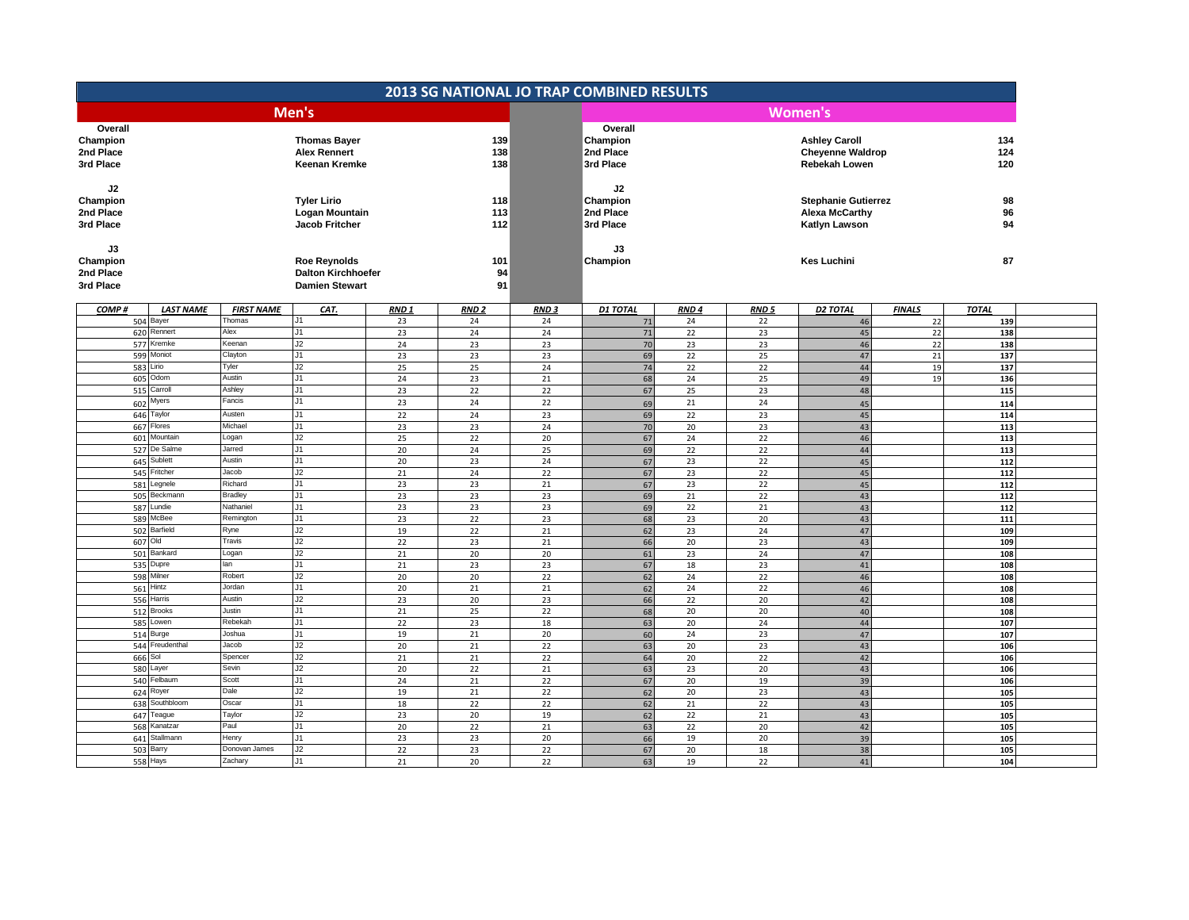|                           |                   |                           |                  | <b>2013 SG NATIONAL JO TRAP COMBINED RESULTS</b> |             |                 |                  |             |                            |               |              |
|---------------------------|-------------------|---------------------------|------------------|--------------------------------------------------|-------------|-----------------|------------------|-------------|----------------------------|---------------|--------------|
|                           |                   | Men's                     |                  |                                                  |             |                 |                  |             | Women's                    |               |              |
| Overall                   |                   |                           |                  |                                                  |             | Overall         |                  |             |                            |               |              |
| Champion                  |                   | <b>Thomas Bayer</b>       |                  | 139                                              |             | Champion        |                  |             | <b>Ashley Caroll</b>       |               | 134          |
| 2nd Place                 |                   | <b>Alex Rennert</b>       |                  | 138                                              |             | 2nd Place       |                  |             | <b>Cheyenne Waldrop</b>    |               | 124          |
| 3rd Place                 |                   | <b>Keenan Kremke</b>      |                  | 138                                              |             | 3rd Place       |                  |             | Rebekah Lowen              |               | 120          |
|                           |                   |                           |                  |                                                  |             |                 |                  |             |                            |               |              |
| J2                        |                   |                           |                  |                                                  |             | J2              |                  |             |                            |               |              |
| Champion                  |                   | <b>Tyler Lirio</b>        |                  | 118                                              |             | Champion        |                  |             | <b>Stephanie Gutierrez</b> |               | 98           |
| 2nd Place                 |                   | Logan Mountain            |                  | 113                                              |             | 2nd Place       |                  |             | <b>Alexa McCarthy</b>      |               | 96           |
| 3rd Place                 |                   | Jacob Fritcher            |                  | 112                                              |             | 3rd Place       |                  |             | Katlyn Lawson              |               | 94           |
| J3                        |                   |                           |                  |                                                  |             | J3              |                  |             |                            |               |              |
| Champion                  |                   | <b>Roe Reynolds</b>       |                  | 101                                              |             | Champion        |                  |             | <b>Kes Luchini</b>         |               | 87           |
| 2nd Place                 |                   | <b>Dalton Kirchhoefer</b> |                  | 94                                               |             |                 |                  |             |                            |               |              |
| 3rd Place                 |                   | <b>Damien Stewart</b>     |                  | 91                                               |             |                 |                  |             |                            |               |              |
|                           |                   |                           |                  |                                                  |             |                 |                  |             |                            |               |              |
| COMP#<br><b>LAST NAME</b> | <b>FIRST NAME</b> | CAT.                      | RND <sub>1</sub> | <b>RND2</b>                                      | <b>RND3</b> | <b>D1 TOTAL</b> | RND <sub>4</sub> | <b>RND5</b> | <b>D2 TOTAL</b>            | <b>FINALS</b> | <b>TOTAL</b> |
| 504 Bayer                 | Thomas            | J1                        | 23               | 24                                               | 24          | 71              | 24               | 22          | 46                         | 22            | 139          |
| 620 Rennert               | Alex<br>Keenan    | J1<br>J2                  | 23               | 24                                               | 24          | 71              | 22               | 23          | 45                         | 22            | 138          |
| 577 Kremke                | Clayton           | J1                        | 24               | 23                                               | 23          | 70              | 23               | 23          | 46                         | 22            | 138          |
| 599 Moniot<br>583 Lirio   | Tyler             | J2                        | 23<br>25         | 23<br>25                                         | 23<br>24    | 69<br>74        | 22<br>22         | 25<br>22    | 47<br>44                   | 21<br>19      | 137<br>137   |
| 605 Odom                  | Austin            | J1                        | 24               | 23                                               | 21          | 68              | 24               | 25          | 49                         | 19            | 136          |
| 515 Carroll               | Ashley            | J1                        | 23               | 22                                               | 22          | 67              | 25               | 23          | 48                         |               | 115          |
| $602$ Myers               | Fancis            | J1                        | 23               | 24                                               | 22          | 69              | 21               | 24          | 45                         |               | 114          |
| 646 Taylor                | Austen            | $\overline{J1}$           | 22               | 24                                               | 23          | 69              | 22               | 23          | 45                         |               | 114          |
| 667 Flores                | Michael           | J1                        | 23               | 23                                               | 24          | 70              | 20               | 23          | 43                         |               | 113          |
| 601 Mountain              | Logan             | J2                        | 25               | 22                                               | 20          | 67              | 24               | 22          | 46                         |               | 113          |
| 527 De Salme              | Jarred            | J1                        | 20               | 24                                               | 25          | 69              | 22               | 22          | 44                         |               | 113          |
| 645 Sublett               | Austin            | J1                        | 20               | 23                                               | 24          | 67              | 23               | 22          | 45                         |               | 112          |
| 545 Fritcher              | Jacob             | J2                        | 21               | 24                                               | 22          | 67              | 23               | 22          | 45                         |               | 112          |
| 581 Legnele               | Richard           | J1                        | 23               | 23                                               | 21          | 67              | 23               | 22          | 45                         |               | 112          |
| 505 Beckmann              | <b>Bradley</b>    | J1                        | 23               | 23                                               | 23          | 69              | 21               | 22          | 43                         |               | 112          |
| 587 Lundie                | Nathaniel         | J1                        | 23               | 23                                               | 23          | 69              | 22               | 21          | 43                         |               | 112          |
| 589 McBee<br>502 Barfield | Remington         | J1<br>J2                  | 23               | 22                                               | 23          | 68              | 23               | 20          | 43                         |               | 111          |
| 607 Old                   | Ryne<br>Travis    | J2                        | 19<br>22         | 22<br>23                                         | 21<br>21    | 62<br>66        | 23<br>20         | 24<br>23    | 47<br>43                   |               | 109<br>109   |
| 501 Bankard               | Logan             | J2                        | 21               | 20                                               | 20          | 61              | 23               | 24          | 47                         |               | 108          |
| 535 Dupre                 | lan               | J1                        | 21               | 23                                               | 23          | 67              | 18               | 23          | 41                         |               | 108          |
| 598 Milner                | Robert            | J2                        | 20               | 20                                               | 22          | 62              | 24               | 22          | 46                         |               | 108          |
| 561 Hintz                 | Jordan            | J1                        | 20               | 21                                               | 21          | 62              | 24               | 22          | 46                         |               | 108          |
| Harris<br>556             | Austin            | J2                        | 23               | 20                                               | 23          | 66              | 22               | 20          | 42                         |               | 108          |
| 512 Brooks                | Justin            | J1                        | 21               | 25                                               | 22          | 68              | 20               | 20          | 40                         |               | 108          |
| 585 Lowen                 | Rebekah           | J1                        | 22               | 23                                               | 18          | 63              | 20               | 24          | 44                         |               | 107          |
| 514 Burge                 | Joshua            | $\overline{J1}$           | 19               | 21                                               | 20          | 60              | 24               | 23          | 47                         |               | 107          |
| 544 Freudenthal           | Jacob             | J2                        | 20 <sub>2</sub>  | 21                                               | 22          | 63              | 20               | 23          | 43                         |               | 106          |
| 666 Sol                   | Spencer           | J2                        | 21               | 21                                               | 22          | 64              | 20               | 22          | 42                         |               | 106          |
| 580 Layer<br>540 Felbaum  | Sevin<br>Scott    | J2<br>$\overline{J1}$     | 20               | 22                                               | 21          | 63              | 23               | 20          | 43                         |               | 106          |
| 624 Royer                 | Dale              | J2                        | 24<br>19         | 21                                               | 22          | 67<br>62        | 20               | 19          | 39<br>43                   |               | 106<br>105   |
| Southbloom<br>638         | Oscar             | J1                        | 18               | 21<br>22                                         | 22<br>22    | 62              | 20<br>21         | 23<br>22    | 43                         |               | 105          |
| 647 Teague                | Taylor            | J2                        | 23               | 20                                               | 19          | 62              | 22               | 21          | 43                         |               | 105          |
| 568 Kanatzar              | Paul              | J1                        | 20               | 22                                               | 21          | 63              | 22               | 20          | 42                         |               | 105          |
| 641 Stallmann             | Henry             | J1                        | 23               | 23                                               | 20          | 66              | 19               | 20          | 39                         |               | 105          |
| 503<br>Barry              | Donovan James     | J2                        | 22               | 23                                               | 22          | 67              | 20               | 18          | 38                         |               | 105          |
| 558 Hays                  | Zachary           | J1                        | 21               | 20                                               | 22          | 63              | 19               | 22          | 41                         |               | 104          |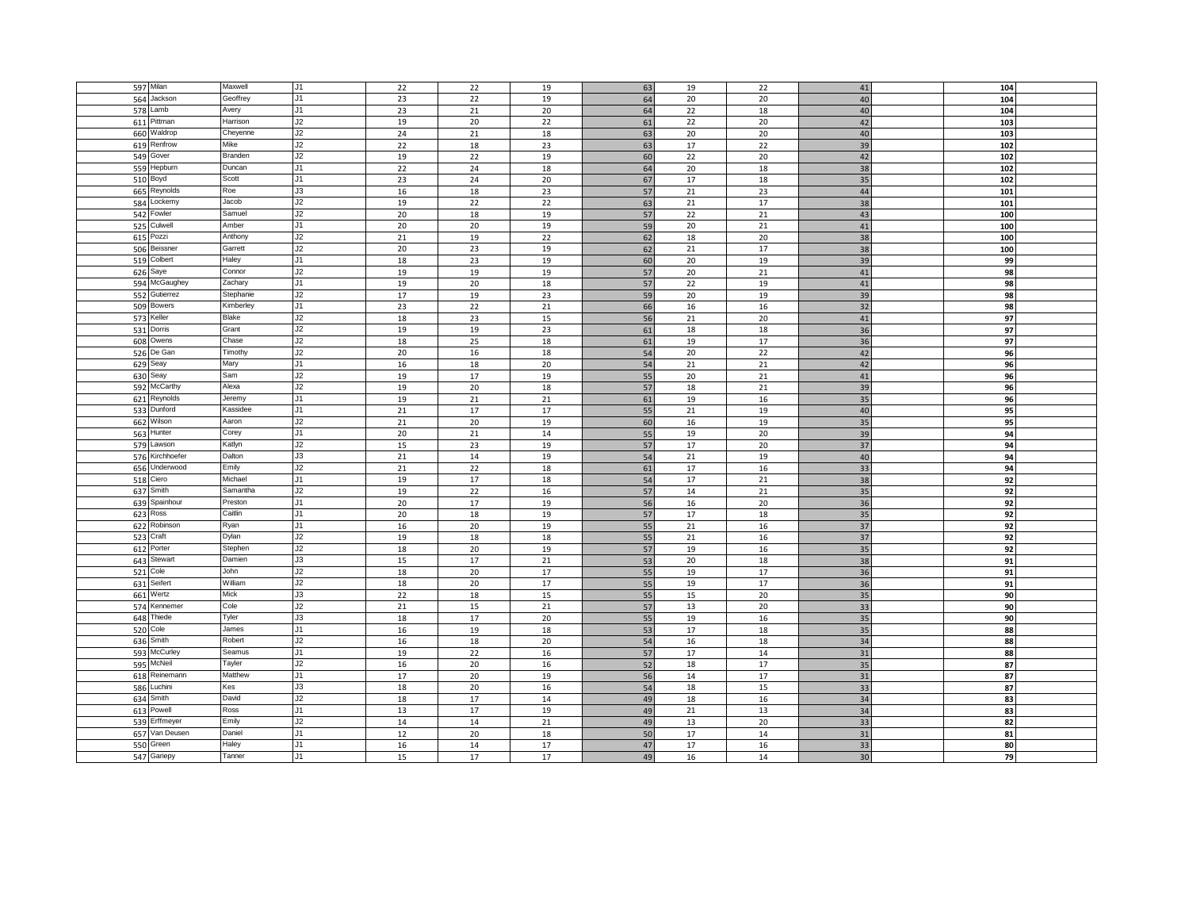|           | 597 Milan       | Maxwell   | J <sub>1</sub> | 22 | 22 | 19     | 63 | 19 | 22 | 41 | 104 |
|-----------|-----------------|-----------|----------------|----|----|--------|----|----|----|----|-----|
|           | 564 Jackson     | Geoffrey  | J1             | 23 | 22 | 19     | 64 | 20 | 20 | 40 | 104 |
|           | Lamb            |           | J1             |    |    |        |    |    |    |    |     |
| 578       |                 | Avery     |                | 23 | 21 | 20     | 64 | 22 | 18 | 40 | 104 |
|           | 611 Pittman     | Harrison  | J2             | 19 | 20 | 22     | 61 | 22 | 20 | 42 | 103 |
|           | 660 Waldrop     | Cheyenne  | J2             | 24 | 21 | 18     | 63 | 20 | 20 | 40 | 103 |
| 619       | Renfrow         | Mike      | J2             | 22 | 18 | 23     | 63 | 17 | 22 | 39 | 102 |
|           | 549 Gover       | Branden   | J2             | 19 | 22 | 19     | 60 | 22 | 20 | 42 | 102 |
|           | 559 Hepburn     | Duncan    | J1             | 22 | 24 | 18     | 64 | 20 | 18 | 38 | 102 |
|           | 510 Boyd        | Scott     | J1             | 23 | 24 | 20     | 67 | 17 | 18 | 35 | 102 |
| 665       | Reynolds        | Roe       | J3             | 16 | 18 | 23     | 57 | 21 | 23 | 44 | 101 |
|           | 584 Lockemy     | Jacob     | J2             | 19 | 22 | 22     | 63 | 21 | 17 | 38 | 101 |
|           |                 | Samuel    | J2             |    |    |        |    |    |    |    |     |
|           | 542 Fowler      |           |                | 20 | 18 | 19     | 57 | 22 | 21 | 43 | 100 |
|           | 525 Culwell     | Amber     | J1             | 20 | 20 | 19     | 59 | 20 | 21 | 41 | 100 |
| 615       | Pozzi           | Anthony   | J2             | 21 | 19 | 22     | 62 | 18 | 20 | 38 | 100 |
|           | 506 Beissner    | Garrett   | J2             | 20 | 23 | 19     | 62 | 21 | 17 | 38 | 100 |
|           | 519 Colbert     | Haley     | J1             | 18 | 23 | 19     | 60 | 20 | 19 | 39 | 99  |
|           | 626 Saye        | Connor    | J2             | 19 | 19 | 19     | 57 | 20 | 21 | 41 | 98  |
|           | 594 McGaughey   | Zachary   | J1             | 19 | 20 | 18     | 57 | 22 | 19 | 41 | 98  |
|           | 552 Gutierrez   | Stephanie | J2             | 17 | 19 | 23     | 59 | 20 | 19 | 39 | 98  |
|           |                 | Kimberley | J1             |    |    |        | 66 |    |    | 32 | 98  |
|           | 509 Bowers      |           |                | 23 | 22 | 21     |    | 16 | 16 |    |     |
|           | 573 Keller      | Blake     | J2             | 18 | 23 | 15     | 56 | 21 | 20 | 41 | 97  |
|           | 531 Dorris      | Grant     | J2             | 19 | 19 | 23     | 61 | 18 | 18 | 36 | 97  |
|           | 608 Owens       | Chase     | J2             | 18 | 25 | 18     | 61 | 19 | 17 | 36 | 97  |
|           | 526 De Gan      | Timothy   | J2             | 20 | 16 | 18     | 54 | 20 | 22 | 42 | 96  |
|           | 629 Seay        | Mary      | J1             | 16 | 18 | 20     | 54 | 21 | 21 | 42 | 96  |
|           | 630 Seay        | Sam       | J2             | 19 | 17 | 19     | 55 | 20 | 21 | 41 | 96  |
|           | 592 McCarthy    | Alexa     | J2             | 19 | 20 | 18     | 57 | 18 | 21 | 39 | 96  |
|           |                 | Jeremy    |                |    |    |        |    |    |    |    |     |
|           | 621 Reynolds    |           | J1             | 19 | 21 | 21     | 61 | 19 | 16 | 35 | 96  |
|           | 533 Dunford     | Kassidee  | J1             | 21 | 17 | $17\,$ | 55 | 21 | 19 | 40 | 95  |
|           | 662 Wilson      | Aaron     | J2             | 21 | 20 | 19     | 60 | 16 | 19 | 35 | 95  |
|           | 563 Hunter      | Corey     | J1             | 20 | 21 | 14     | 55 | 19 | 20 | 39 | 94  |
|           | 579 Lawson      | Katlyn    | J2             | 15 | 23 | 19     | 57 | 17 | 20 | 37 | 94  |
|           | 576 Kirchhoefer | Dalton    | J3             | 21 | 14 | 19     | 54 | 21 | 19 | 40 | 94  |
|           | 656 Underwood   | Emily     | J2             | 21 | 22 | 18     | 61 | 17 | 16 | 33 | 94  |
| 518       | Ciero           | Michael   | J1             | 19 | 17 | 18     | 54 | 17 | 21 | 38 | 92  |
|           |                 | Samantha  |                |    |    |        |    |    |    |    |     |
|           | 637 Smith       |           | J2             | 19 | 22 | 16     | 57 | 14 | 21 | 35 | 92  |
|           | 639 Spainhour   | Preston   | J1             | 20 | 17 | 19     | 56 | 16 | 20 | 36 | 92  |
|           | 623 Ross        | Caitlin   | J1             | 20 | 18 | 19     | 57 | 17 | 18 | 35 | 92  |
|           | 622 Robinson    | ₹yan      | J1             | 16 | 20 | 19     | 55 | 21 | 16 | 37 | 92  |
|           | 523 Craft       | Dylan     | J2             | 19 | 18 | 18     | 55 | 21 | 16 | 37 | 92  |
|           | 612 Porter      | Stephen   | J2             | 18 | 20 | 19     | 57 | 19 | 16 | 35 | 92  |
|           | 643 Stewart     | Damien    | J3             | 15 | 17 | 21     | 53 | 20 | 18 | 38 | 91  |
|           | 521 Cole        | John      | J2             | 18 | 20 | 17     |    | 19 | 17 | 36 |     |
|           |                 |           |                |    |    |        | 55 |    |    |    | 91  |
|           | 631 Seifert     | William   | J2             | 18 | 20 | 17     | 55 | 19 | 17 | 36 | 91  |
|           | 661 Wertz       | Mick      | J3             | 22 | 18 | 15     | 55 | 15 | 20 | 35 | 90  |
|           | 574 Kennemer    | Cole      | J2             | 21 | 15 | 21     | 57 | 13 | 20 | 33 | 90  |
|           | 648 Thiede      | Tyler     | J3             | 18 | 17 | 20     | 55 | 19 | 16 | 35 | 90  |
|           | 520 Cole        | James     | J1             | 16 | 19 | 18     | 53 | 17 | 18 | 35 | 88  |
|           | 636 Smith       | Robert    | J2             | 16 | 18 | 20     | 54 | 16 | 18 | 34 | 88  |
|           | 593 McCurley    | Seamus    | J1             | 19 | 22 | 16     | 57 | 17 | 14 | 31 | 88  |
|           |                 | Tayler    |                |    |    |        |    |    |    |    |     |
|           | 595 McNeil      |           | J2             | 16 | 20 | 16     | 52 | 18 | 17 | 35 | 87  |
|           | 618 Reinemann   | Matthew   | J1             | 17 | 20 | 19     | 56 | 14 | 17 | 31 | 87  |
|           | 586 Luchini     | Kes       | J3             | 18 | 20 | 16     | 54 | 18 | 15 | 33 | 87  |
|           | 634 Smith       | David     | J2             | 18 | 17 | 14     | 49 | 18 | 16 | 34 | 83  |
|           | 613 Powell      | Ross      | J1             | 13 | 17 | 19     | 49 | 21 | 13 | 34 | 83  |
|           | 539 Erffmeyer   | Emily     | J2             | 14 | 14 | 21     | 49 | 13 | 20 | 33 | 82  |
|           | 657 Van Deusen  | Daniel    | J1             | 12 | 20 | 18     | 50 | 17 | 14 | 31 | 81  |
|           |                 |           |                |    |    |        |    |    |    |    |     |
|           |                 | Haley     | J1             | 16 | 14 | 17     | 47 | 17 | 16 | 33 | 80  |
| 550 Green | 547 Gariepy     | Tanner    | J1             | 15 | 17 | 17     | 49 | 16 | 14 | 30 | 79  |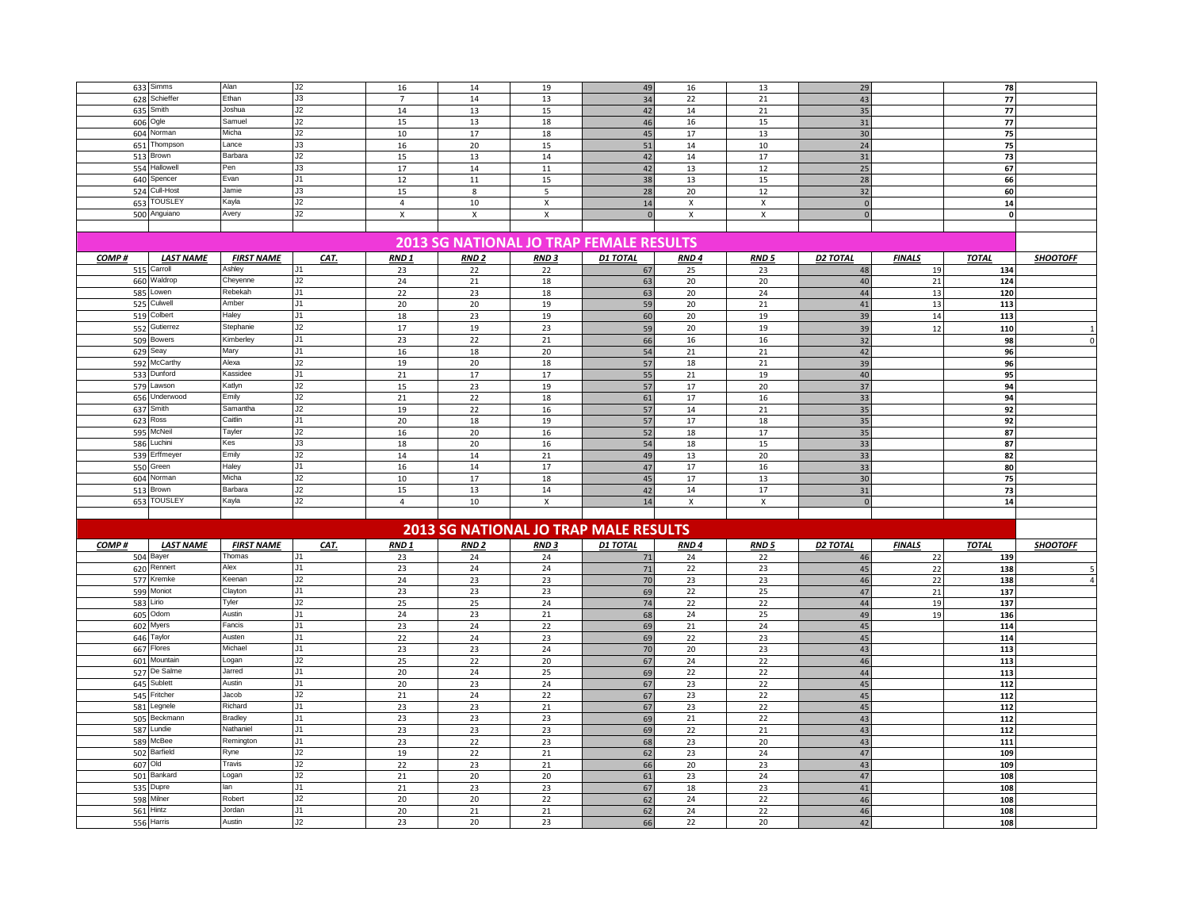|       | 633 Simms               | Alan              | J2   | 16               | 14               | 19               | 49                                             | 16               | 13                        | 29              |                 | 78           |                 |
|-------|-------------------------|-------------------|------|------------------|------------------|------------------|------------------------------------------------|------------------|---------------------------|-----------------|-----------------|--------------|-----------------|
|       | 628 Schieffer           | Ethan             | J3   | $\overline{7}$   | 14               | 13               | 34                                             | 22               | 21                        | 43              |                 | 77           |                 |
|       | 635 Smith               | Joshua            | J2   | 14               | 13               | 15               |                                                | 14               | 21                        | 35              |                 | 77           |                 |
|       |                         |                   |      |                  |                  |                  | 42                                             |                  |                           |                 |                 |              |                 |
|       | 606 Ogle                | Samuel            | J2   | 15               | 13               | 18               | 46                                             | 16               | 15                        | 31              |                 | $77$         |                 |
|       | 604 Norman              | Micha             | J2   | $10\,$           | 17               | 18               | 45                                             | 17               | 13                        | 30              |                 | 75           |                 |
| 651   | Thompson                | Lance             | J3   | 16               | 20               | 15               | 51                                             | $14\,$           | 10                        | 24              |                 | 75           |                 |
|       | 513 Brown               | Barbara           | J2   | 15               | 13               | 14               | 42                                             | 14               | 17                        | 31              |                 | 73           |                 |
|       | 554 Hallowell           | Pen               | J3   | 17               | 14               | 11               | 42                                             | 13               | 12                        | 25              |                 | 67           |                 |
|       | 640 Spencer             | Evan              | J1   | 12               | $11\,$           | 15               | 38                                             | 13               | 15                        | 28              |                 | 66           |                 |
|       | 524 Cull-Host           | Jamie             | J3   | 15               | 8                | 5                | 28                                             | 20               | 12                        | 32              |                 | 60           |                 |
|       | 653 TOUSLEY             | Kayla             | J2   | $\overline{4}$   | 10               |                  | 14                                             |                  |                           | $\mathbf{0}$    |                 | ${\bf 14}$   |                 |
|       |                         |                   |      |                  |                  | X                |                                                | X                | $\boldsymbol{\mathsf{x}}$ |                 |                 |              |                 |
|       | 500 Anguiano            | Avery             | J2   | X                | X                | X                |                                                | X                | $\mathsf{x}$              | $\overline{0}$  |                 | $\mathbf{0}$ |                 |
|       |                         |                   |      |                  |                  |                  |                                                |                  |                           |                 |                 |              |                 |
|       |                         |                   |      |                  |                  |                  | <b>2013 SG NATIONAL JO TRAP FEMALE RESULTS</b> |                  |                           |                 |                 |              |                 |
|       |                         |                   |      |                  |                  |                  |                                                |                  |                           |                 |                 |              |                 |
| COMP# | <b>LAST NAME</b>        | <b>FIRST NAME</b> | CAT. | RND <sub>1</sub> | <b>RND2</b>      | RND <sub>3</sub> | <b>D1 TOTAL</b>                                | RND <sub>4</sub> | RND <sub>5</sub>          | D2 TOTAL        | <b>FINALS</b>   | <b>TOTAL</b> | <b>SHOOTOFF</b> |
|       | 515 Carroll             | Ashley            | J1   | 23               | 22               | 22               | 67                                             | 25               | 23                        | 48              | 19              | 134          |                 |
|       | 660 Waldrop             | Cheyenne          | J2   | 24               | 21               | 18               | 63                                             | 20               | 20                        | 40              | 21              | 124          |                 |
|       | 585 Lowen               | Rebekah           | J1   | 22               | 23               | 18               | 63                                             | 20               | 24                        | 44              | 13              | 120          |                 |
|       | 525 Culwell             | Amber             | J1   | 20               | 20               | 19               | 59                                             | 20               | 21                        | 41              | 13              | 113          |                 |
|       | 519 Colbert             | Haley             | J1   | 18               | 23               | 19               | 60                                             | 20               | 19                        | 39              | 14              | 113          |                 |
|       | 552 Gutierrez           | Stephanie         | J2   | 17               | 19               | 23               | 59                                             | 20               | 19                        | 39              | 12              | 110          | $\mathbf{1}$    |
|       | 509 Bowers              | Kimberley         | J1   | 23               | 22               | 21               | 66                                             | 16               | $16$                      | 32              |                 | 98           | $\pmb{0}$       |
|       |                         |                   |      |                  |                  |                  |                                                |                  |                           |                 |                 |              |                 |
|       | 629 Seay                | Mary              | J1   | 16               | 18               | 20               | 54                                             | 21               | 21                        | 42              |                 | 96           |                 |
|       | 592 McCarthy            | Alexa             | J2   | 19               | 20               | 18               | 57                                             | 18               | 21                        | 39              |                 | 96           |                 |
|       | 533 Dunford             | Kassidee          | J1   | 21               | 17               | 17               | 55                                             | 21               | 19                        | 40              |                 | 95           |                 |
|       | 579 Lawson              | Katlyn            | J2   | 15               | 23               | 19               | 57                                             | 17               | 20                        | 37              |                 | 94           |                 |
|       | 656 Underwood           | Emily             | J2   | 21               | 22               | 18               | 61                                             | 17               | 16                        | 33              |                 | 94           |                 |
|       | 637 Smith               | Samantha          | J2   | 19               | 22               | 16               | 57                                             | 14               | 21                        | 35              |                 | 92           |                 |
|       | 623 Ross                | Caitlin           | J1   | 20               | 18               | 19               | 57                                             | $17\,$           | 18                        | 35              |                 | 92           |                 |
|       | 595 McNeil              | Tayler            | J2   | 16               | 20               | 16               | 52                                             | 18               | 17                        | 35              |                 | 87           |                 |
|       | 586 Luchini             | Kes               | J3   | 18               | 20               | 16               | 54                                             | 18               | 15                        | 33              |                 | 87           |                 |
|       | 539 Erffmeyer           | Emily             | J2   | 14               | 14               | 21               | 49                                             | 13               | 20                        | 33              |                 | 82           |                 |
|       |                         |                   |      |                  |                  |                  |                                                |                  |                           |                 |                 |              |                 |
|       |                         |                   |      |                  |                  |                  |                                                |                  |                           |                 |                 |              |                 |
|       | 550 Green               | Haley             | J1   | 16               | 14               | 17               | 47                                             | 17               | 16                        | 33              |                 | 80           |                 |
|       | 604 Norman              | Micha             | J2   | 10               | 17               | 18               | 45                                             | 17               | 13                        | 30              |                 | 75           |                 |
|       | 513 Brown               | Barbara           | J2   | $15\,$           | 13               | 14               | 42                                             | $14\,$           | $17\,$                    | 31              |                 | 73           |                 |
|       | 653 TOUSLEY             | Kayla             | J2   | $\overline{4}$   | 10               | X                | 14                                             | X                | $\pmb{\chi}$              | $\mathbf 0$     |                 | 14           |                 |
|       |                         |                   |      |                  |                  |                  |                                                |                  |                           |                 |                 |              |                 |
|       |                         |                   |      |                  |                  |                  |                                                |                  |                           |                 |                 |              |                 |
|       |                         |                   |      |                  |                  |                  | <b>2013 SG NATIONAL JO TRAP MALE RESULTS</b>   |                  |                           |                 |                 |              |                 |
| COMP# | <b>LAST NAME</b>        | <b>FIRST NAME</b> | CAT. | RND <sub>1</sub> | RND <sub>2</sub> | RND <sub>3</sub> | <b>D1 TOTAL</b>                                | RND <sub>4</sub> | RND <sub>5</sub>          | <b>D2 TOTAL</b> | <b>FINALS</b>   | <b>TOTAL</b> | <b>SHOOTOFF</b> |
|       |                         | Thomas            | J1   | 23               | 24               | 24               |                                                | 24               | 22                        | 46              |                 | 139          |                 |
|       | 504 Bayer               | Alex              | J1   |                  |                  |                  | 71                                             |                  |                           |                 | 22              |              |                 |
|       | 620 Rennert             |                   |      | 23               | 24               | 24               | 71                                             | 22               | 23                        | 45              | 22              | 138          | 5               |
|       | 577 Kremke              | Keenan            | J2   | 24               | 23               | 23               | 70                                             | 23               | 23                        | 46              | 22              | 138          | $\overline{4}$  |
|       | 599 Moniot              | Clayton           | J1   | 23               | 23               | 23               | 69                                             | 22               | 25                        | 47              | $\overline{21}$ | 137          |                 |
|       | 583 Lirio               | Tyler             | J2   | 25               | 25               | 24               | 74                                             | 22               | 22                        | 44              | 19              | 137          |                 |
|       | 605 Odom                | Austin            | J1   | 24               | 23               | 21               | 68                                             | 24               | 25                        | 49              | 19              | 136          |                 |
|       | 602 Myers               | Fancis            | J1   | 23               | 24               | 22               | 69                                             | 21               | 24                        | 45              |                 | 114          |                 |
|       | 646 Taylor              | Austen            | J1   | 22               | 24               | 23               | 69                                             | 22               | 23                        | 45              |                 | 114          |                 |
|       | 667 Flores              | Michael           | J1   | 23               | 23               | 24               | 70                                             | 20               | 23                        | 43              |                 | 113          |                 |
|       | 601 Mountain            | Logan             | J2   | 25               | 22               | 20               | 67                                             | 24               | 22                        | 46              |                 | 113          |                 |
|       | 527 De Salme            | Jarred            | J1   | 20               | 24               | 25               | 69                                             | 22               | 22                        | 44              |                 | 113          |                 |
|       | 645 Sublett             | Austin            | J1   | 20               | 23               | 24               |                                                | 23               | 22                        | 45              |                 | 112          |                 |
|       |                         | Jacob             | J2   | 21               | 24               | 22               | 67                                             |                  | 22                        | 45              |                 |              |                 |
|       | 545 Fritcher            | Richard           | J1   |                  |                  |                  | 67                                             | 23               |                           |                 |                 | 112          |                 |
| 581   | Legnele                 |                   |      | 23               | 23               | 21               | 67                                             | 23               | 22                        | 45              |                 | 112          |                 |
| 505   | Beckmann                | <b>Bradley</b>    | J1   | 23               | 23               | 23               | 69                                             | 21               | 22                        | 43              |                 | 112          |                 |
|       | 587 Lundie              | Nathaniel         | J1   | 23               | 23               | 23               | 69                                             | 22               | 21                        | 43              |                 | 112          |                 |
|       | 589 McBee               | Remington         | J1   | 23               | 22               | 23               | 68                                             | 23               | 20                        | 43              |                 | 111          |                 |
|       | 502 Barfield            | Ryne              | J2   | 19               | 22               | 21               | 62                                             | 23               | 24                        | 47              |                 | 109          |                 |
|       | 607 Old                 | Travis            | J2   | 22               | 23               | 21               | 66                                             | 20               | 23                        | 43              |                 | 109          |                 |
|       | 501 Bankard             | Logan             | J2   | 21               | 20               | 20               | 61                                             | 23               | 24                        | 47              |                 | 108          |                 |
|       | 535 Dupre               | lan               | J1   | 21               | 23               | 23               | 67                                             | 18               | 23                        | 41              |                 | 108          |                 |
| 598   | Milner                  | Robert            | J2   | 20               | 20               | 22               |                                                | 24               | 22                        | 46              |                 | 108          |                 |
|       |                         | Jordan            | J1   |                  |                  |                  | 62                                             |                  |                           | 46              |                 |              |                 |
|       | 561 Hintz<br>556 Harris | Austin            | J2   | 20<br>23         | 21<br>20         | 21<br>23         | 62<br>66                                       | 24<br>22         | 22<br>20                  | 42              |                 | 108<br>108   |                 |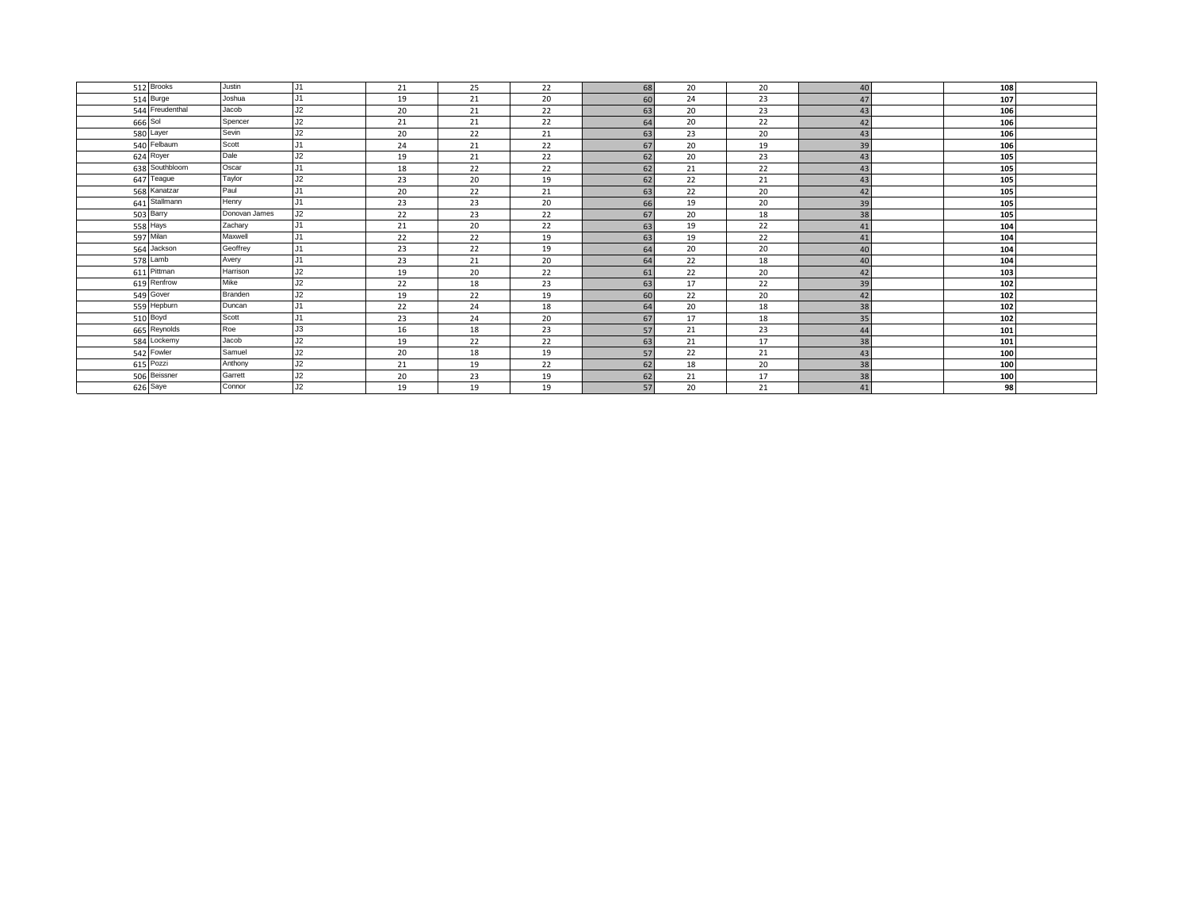| 512 Brooks      | Justin        | J1             | 21 | 25 | 22 | 68 | 20 | 20 | 40 | 108 |  |
|-----------------|---------------|----------------|----|----|----|----|----|----|----|-----|--|
| 514 Burge       | Joshua        | J <sub>1</sub> | 19 | 21 | 20 | 60 | 24 | 23 | 47 | 107 |  |
| 544 Freudenthal | Jacob         | J2             | 20 | 21 | 22 | 63 | 20 | 23 | 43 | 106 |  |
| 666 Sol         | Spencer       | J2             | 21 | 21 | 22 | 64 | 20 | 22 | 42 | 106 |  |
| 580 Layer       | Sevin         | J2             | 20 | 22 | 21 | 63 | 23 | 20 | 43 | 106 |  |
| 540 Felbaum     | Scott         | J1             | 24 | 21 | 22 | 67 | 20 | 19 | 39 | 106 |  |
| 624 Royer       | Dale          | J2             | 19 | 21 | 22 | 62 | 20 | 23 | 43 | 105 |  |
| 638 Southbloom  | Oscar         | Ū1             | 18 | 22 | 22 | 62 | 21 | 22 | 43 | 105 |  |
| 647 Teague      | Taylor        | J2             | 23 | 20 | 19 | 62 | 22 | 21 | 43 | 105 |  |
| 568 Kanatzar    | Paul          | J1             | 20 | 22 | 21 | 63 | 22 | 20 | 42 | 105 |  |
| 641 Stallmann   | Henry         | IJ1            | 23 | 23 | 20 | 66 | 19 | 20 | 39 | 105 |  |
| 503 Barry       | Donovan James | J2             | 22 | 23 | 22 | 67 | 20 | 18 | 38 | 105 |  |
| 558 Hays        | Zachary       | J1             | 21 | 20 | 22 | 63 | 19 | 22 | 41 | 104 |  |
| 597 Milan       | Maxwell       | J <sub>1</sub> | 22 | 22 | 19 | 63 | 19 | 22 | 41 | 104 |  |
| 564 Jackson     | Geoffrey      | J1             | 23 | 22 | 19 | 64 | 20 | 20 | 40 | 104 |  |
| 578 Lamb        | Avery         | J <sub>1</sub> | 23 | 21 | 20 | 64 | 22 | 18 | 40 | 104 |  |
| 611 Pittman     | Harrison      | J2             | 19 | 20 | 22 | 61 | 22 | 20 | 42 | 103 |  |
| 619 Renfrow     | Mike          | J2             | 22 | 18 | 23 | 63 | 17 | 22 | 39 | 102 |  |
| 549 Gover       | Branden       | J2             | 19 | 22 | 19 | 60 | 22 | 20 | 42 | 102 |  |
| 559 Hepburn     | Duncan        | J <sub>1</sub> | 22 | 24 | 18 | 64 | 20 | 18 | 38 | 102 |  |
| 510 Boyd        | Scott         | JJ             | 23 | 24 | 20 | 67 | 17 | 18 | 35 | 102 |  |
| 665 Reynolds    | Roe           | J3             | 16 | 18 | 23 | 57 | 21 | 23 | 44 | 101 |  |
| 584 Lockemy     | Jacob         | J2             | 19 | 22 | 22 | 63 | 21 | 17 | 38 | 101 |  |
| 542 Fowler      | Samuel        | J2             | 20 | 18 | 19 | 57 | 22 | 21 | 43 | 100 |  |
| 615 Pozzi       | Anthony       | J2             | 21 | 19 | 22 | 62 | 18 | 20 | 38 | 100 |  |
| 506 Beissner    | Garrett       | J2             | 20 | 23 | 19 | 62 | 21 | 17 | 38 | 100 |  |
| 626 Saye        | Connor        | J2             | 19 | 19 | 19 | 57 | 20 | 21 | 41 | 98  |  |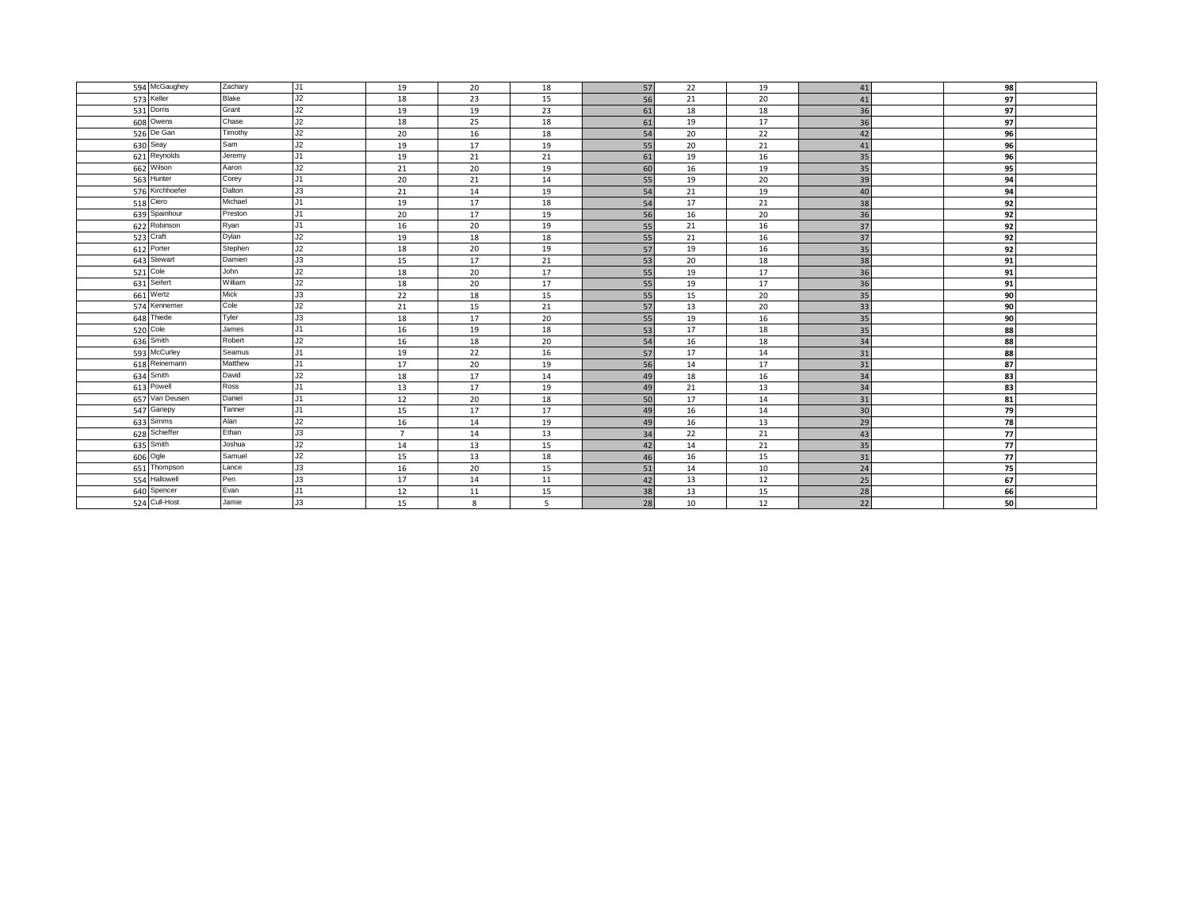| 594 McGaughey   | Zachary      | J1 | 19             | 20 | 18 | 57 | 22 | 19 | 41 | 98 |  |
|-----------------|--------------|----|----------------|----|----|----|----|----|----|----|--|
| 573 Keller      | <b>Blake</b> | J2 | 18             | 23 | 15 | 56 | 21 | 20 | 41 | 97 |  |
| 531 Dorris      | Grant        | J2 | 19             | 19 | 23 | 61 | 18 | 18 | 36 | 97 |  |
| 608 Owens       | Chase        | J2 | 18             | 25 | 18 | 61 | 19 | 17 | 36 | 97 |  |
| 526 De Gan      | Timothy      | J2 | 20             | 16 | 18 | 54 | 20 | 22 | 42 | 96 |  |
| 630 Seay        | Sam          | J2 | 19             | 17 | 19 | 55 | 20 | 21 | 41 | 96 |  |
| 621 Reynolds    | Jeremy       | J1 | 19             | 21 | 21 | 61 | 19 | 16 | 35 | 96 |  |
| 662 Wilson      | Aaron        | J2 | 21             | 20 | 19 | 60 | 16 | 19 | 35 | 95 |  |
| 563 Hunter      | Corey        | J1 | 20             | 21 | 14 | 55 | 19 | 20 | 39 | 94 |  |
| 576 Kirchhoefer | Dalton       | J3 | 21             | 14 | 19 | 54 | 21 | 19 | 40 | 94 |  |
| 518 Ciero       | Michael      | J1 | 19             | 17 | 18 | 54 | 17 | 21 | 38 | 92 |  |
| 639 Spainhour   | Preston      | J1 | 20             | 17 | 19 | 56 | 16 | 20 | 36 | 92 |  |
| 622 Robinson    | Ryan         | J1 | 16             | 20 | 19 | 55 | 21 | 16 | 37 | 92 |  |
| 523 Craft       | Dylan        | J2 | 19             | 18 | 18 | 55 | 21 | 16 | 37 | 92 |  |
| 612 Porter      | Stephen      | J2 | 18             | 20 | 19 | 57 | 19 | 16 | 35 | 92 |  |
| 643 Stewart     | Damien       | J3 | 15             | 17 | 21 | 53 | 20 | 18 | 38 | 91 |  |
| 521 Cole        | John         | J2 | 18             | 20 | 17 | 55 | 19 | 17 | 36 | 91 |  |
| 631 Seifert     | William      | J2 | 18             | 20 | 17 | 55 | 19 | 17 | 36 | 91 |  |
| 661 Wertz       | Mick         | J3 | 22             | 18 | 15 | 55 | 15 | 20 | 35 | 90 |  |
| 574 Kennemer    | Cole         | J2 | 21             | 15 | 21 | 57 | 13 | 20 | 33 | 90 |  |
| 648 Thiede      | Tyler        | J3 | 18             | 17 | 20 | 55 | 19 | 16 | 35 | 90 |  |
| 520 Cole        | James        | J1 | 16             | 19 | 18 | 53 | 17 | 18 | 35 | 88 |  |
| 636 Smith       | Robert       | J2 | 16             | 18 | 20 | 54 | 16 | 18 | 34 | 88 |  |
| 593 McCurley    | Seamus       | J1 | 19             | 22 | 16 | 57 | 17 | 14 | 31 | 88 |  |
| 618 Reinemann   | Matthew      | J1 | 17             | 20 | 19 | 56 | 14 | 17 | 31 | 87 |  |
| 634 Smith       | David        | J2 | 18             | 17 | 14 | 49 | 18 | 16 | 34 | 83 |  |
| 613 Powell      | Ross         | J1 | 13             | 17 | 19 | 49 | 21 | 13 | 34 | 83 |  |
| 657 Van Deusen  | Daniel       | J1 | 12             | 20 | 18 | 50 | 17 | 14 | 31 | 81 |  |
| 547 Gariepy     | Tanner       | J1 | 15             | 17 | 17 | 49 | 16 | 14 | 30 | 79 |  |
| 633 Simms       | Alan         | J2 | 16             | 14 | 19 | 49 | 16 | 13 | 29 | 78 |  |
| 628 Schieffer   | Ethan        | J3 | $\overline{7}$ | 14 | 13 | 34 | 22 | 21 | 43 | 77 |  |
| 635 Smith       | Joshua       | J2 | 14             | 13 | 15 | 42 | 14 | 21 | 35 | 77 |  |
| 606 Ogle        | Samuel       | J2 | 15             | 13 | 18 | 46 | 16 | 15 | 31 | 77 |  |
| 651 Thompson    | Lance        | J3 | 16             | 20 | 15 | 51 | 14 | 10 | 24 | 75 |  |
| 554 Hallowell   | Pen          | J3 | 17             | 14 | 11 | 42 | 13 | 12 | 25 | 67 |  |
| 640 Spencer     | Evan         | J1 | 12             | 11 | 15 | 38 | 13 | 15 | 28 | 66 |  |
| 524 Cull-Host   | Jamie        | J3 | 15             | 8  | 5  | 28 | 10 | 12 | 22 | 50 |  |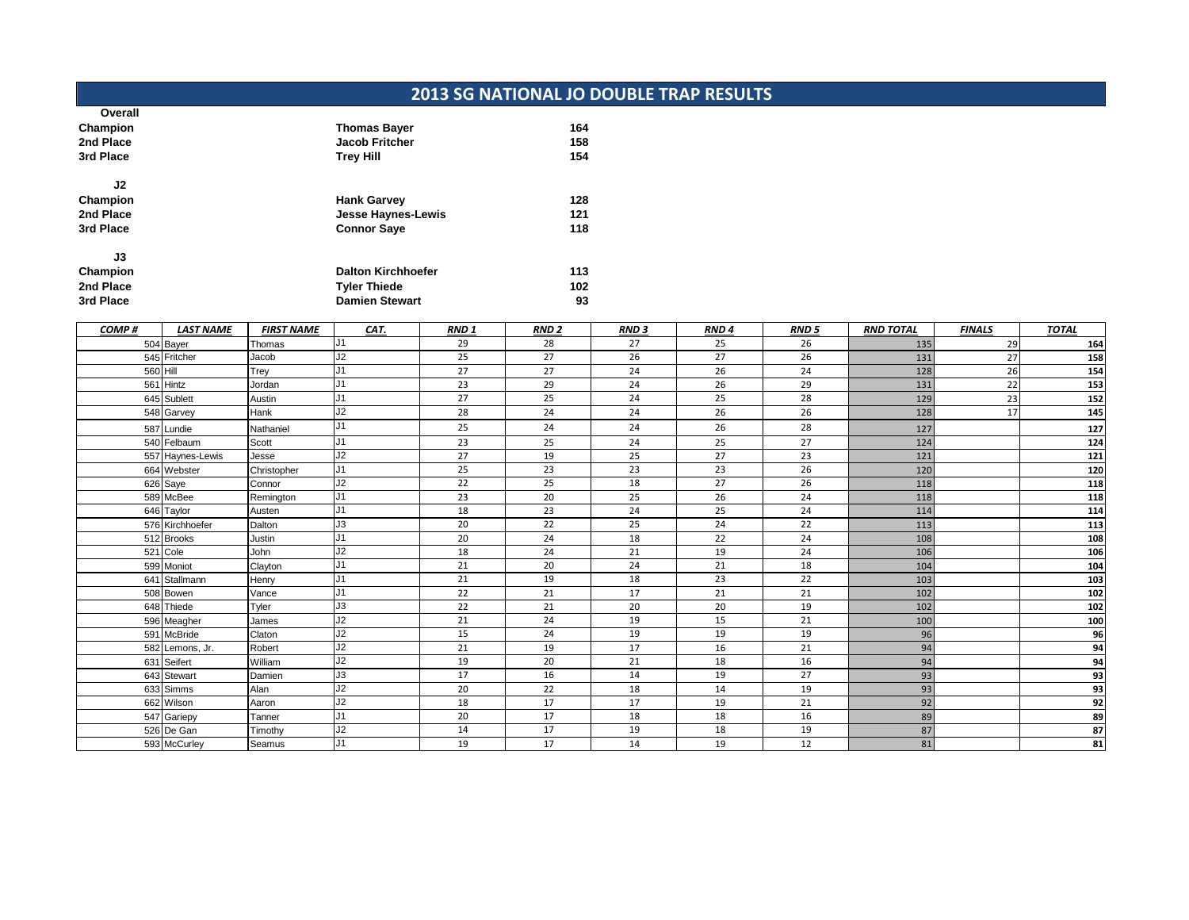## **2013 SG NATIONAL JO DOUBLE TRAP RESULTS**

| Overall   |                           |     |
|-----------|---------------------------|-----|
| Champion  | <b>Thomas Bayer</b>       | 164 |
| 2nd Place | <b>Jacob Fritcher</b>     | 158 |
| 3rd Place | <b>Trey Hill</b>          | 154 |
| J2        |                           |     |
| Champion  | <b>Hank Garvey</b>        | 128 |
| 2nd Place | Jesse Haynes-Lewis        | 121 |
| 3rd Place | <b>Connor Saye</b>        | 118 |
| J3        |                           |     |
| Champion  | <b>Dalton Kirchhoefer</b> | 113 |
| 2nd Place | <b>Tyler Thiede</b>       | 102 |
| 3rd Place | <b>Damien Stewart</b>     | 93  |
|           |                           |     |

| COMP#    | <b>LAST NAME</b> | <b>FIRST NAME</b> | CAT.           | <b>RND1</b> | <b>RND 2</b> | <b>RND3</b> | RND <sub>4</sub> | <b>RND 5</b> | <b>RND TOTAL</b> | <b>FINALS</b> | <b>TOTAL</b>    |
|----------|------------------|-------------------|----------------|-------------|--------------|-------------|------------------|--------------|------------------|---------------|-----------------|
|          | 504 Bayer        | Thomas            | J <sub>1</sub> | 29          | 28           | 27          | 25               | 26           | 135              | 29            | 164             |
|          | 545 Fritcher     | Jacob             | J2             | 25          | 27           | 26          | 27               | 26           | 131              | 27            | 158             |
| 560 Hill |                  | Trey              | J1             | 27          | 27           | 24          | 26               | 24           | 128              | 26            | 154             |
|          | 561 Hintz        | Jordan            | J1             | 23          | 29           | 24          | 26               | 29           | 131              | 22            | 153             |
|          | 645 Sublett      | Austin            | J1             | 27          | 25           | 24          | 25               | 28           | 129              | 23            | 152             |
|          | 548 Garvey       | Hank              | J2             | 28          | 24           | 24          | 26               | 26           | 128              | 17            | 145             |
|          | 587 Lundie       | Nathaniel         | J1             | 25          | 24           | 24          | 26               | 28           | 127              |               | 127             |
|          | 540 Felbaum      | Scott             | J1             | 23          | 25           | 24          | 25               | 27           | 124              |               | 124             |
|          | 557 Haynes-Lewis | Jesse             | J2             | 27          | 19           | 25          | 27               | 23           | 121              |               | $\frac{1}{121}$ |
|          | 664 Webster      | Christopher       | J <sub>1</sub> | 25          | 23           | 23          | 23               | 26           | 120              |               | 120             |
|          | 626 Saye         | Connor            | J2             | 22          | 25           | 18          | 27               | 26           | 118              |               | 118             |
|          | 589 McBee        | Remington         | J1             | 23          | 20           | 25          | 26               | 24           | 118              |               | 118             |
|          | 646 Taylor       | Austen            | J <sub>1</sub> | 18          | 23           | 24          | 25               | 24           | 114              |               | 114             |
|          | 576 Kirchhoefer  | Dalton            | J3             | 20          | 22           | 25          | 24               | 22           | 113              |               | 113             |
|          | 512 Brooks       | Justin            | J1             | 20          | 24           | 18          | 22               | 24           | 108              |               | 108             |
|          | 521 Cole         | John              | J2             | 18          | 24           | 21          | 19               | 24           | 106              |               | 106             |
|          | 599 Moniot       | Clayton           | J1             | 21          | 20           | 24          | 21               | 18           | 104              |               | 104             |
|          | 641 Stallmann    | Henry             | J <sub>1</sub> | 21          | 19           | 18          | 23               | 22           | 103              |               | 103             |
|          | 508 Bowen        | Vance             | J1             | 22          | 21           | 17          | 21               | 21           | 102              |               | 102             |
|          | 648 Thiede       | Tyler             | J3             | 22          | 21           | 20          | 20               | 19           | 102              |               | 102             |
|          | 596 Meagher      | James             | J2             | 21          | 24           | 19          | 15               | 21           | 100              |               | 100             |
|          | 591 McBride      | Claton            | J2             | 15          | 24           | 19          | 19               | 19           | 96               |               | 96              |
|          | 582 Lemons, Jr.  | Robert            | J2             | 21          | 19           | 17          | 16               | 21           | 94               |               | 94              |
|          | 631 Seifert      | William           | J2             | 19          | 20           | 21          | 18               | 16           | 94               |               | 94              |
|          | 643 Stewart      | Damien            | J3             | 17          | 16           | 14          | 19               | 27           | 93               |               | 93              |
|          | 633 Simms        | Alan              | J2             | 20          | 22           | 18          | 14               | 19           | 93               |               | 93              |
|          | 662 Wilson       | Aaron             | J2             | 18          | 17           | 17          | 19               | 21           | 92               |               | 92              |
|          | 547 Gariepy      | Tanner            | J1             | 20          | 17           | 18          | 18               | 16           | 89               |               | 89              |
|          | 526 De Gan       | Timothy           | J2             | 14          | 17           | 19          | 18               | 19           | 87               |               | 87              |
|          | 593 McCurley     | Seamus            | J <sub>1</sub> | 19          | 17           | 14          | 19               | 12           | 81               |               | 81              |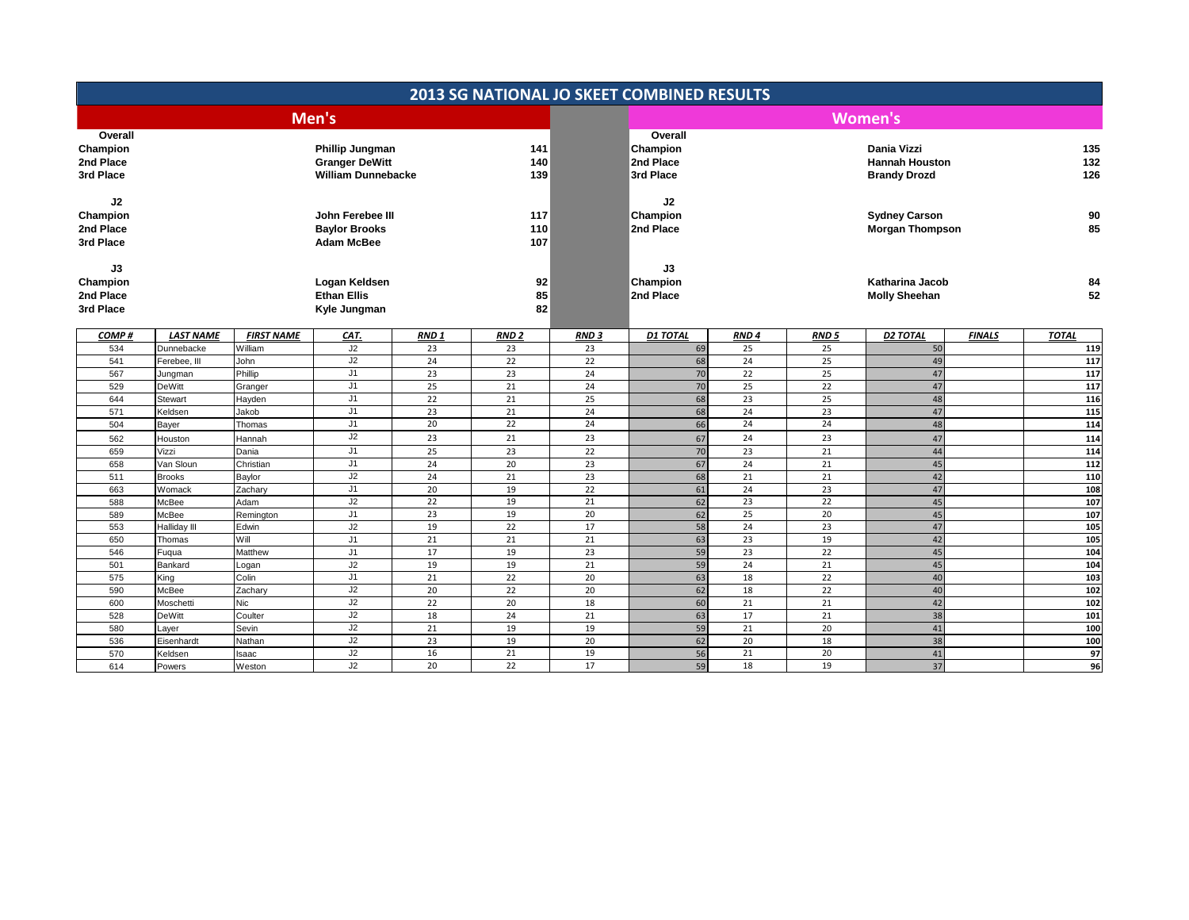|                                               |                  |                    |                                                                              |                  |                   |                 | <b>2013 SG NATIONAL JO SKEET COMBINED RESULTS</b> |                  |                  |                                                             |               |                   |
|-----------------------------------------------|------------------|--------------------|------------------------------------------------------------------------------|------------------|-------------------|-----------------|---------------------------------------------------|------------------|------------------|-------------------------------------------------------------|---------------|-------------------|
|                                               |                  |                    | Men's                                                                        |                  |                   |                 |                                                   |                  |                  | <b>Women's</b>                                              |               |                   |
| Overall<br>Champion<br>2nd Place<br>3rd Place |                  |                    | <b>Phillip Jungman</b><br><b>Granger DeWitt</b><br><b>William Dunnebacke</b> |                  | 141<br>140<br>139 |                 | Overall<br>Champion<br>2nd Place<br>3rd Place     |                  |                  | Dania Vizzi<br><b>Hannah Houston</b><br><b>Brandy Drozd</b> |               | 135<br>132<br>126 |
| J2<br>Champion<br>2nd Place<br>3rd Place      |                  |                    | John Ferebee III<br><b>Baylor Brooks</b><br><b>Adam McBee</b>                |                  | 117<br>110<br>107 |                 | J2<br>Champion<br>2nd Place                       |                  |                  | <b>Sydney Carson</b><br><b>Morgan Thompson</b>              |               | 90<br>85          |
| J3<br>Champion<br>2nd Place<br>3rd Place      |                  |                    | Logan Keldsen<br><b>Ethan Ellis</b><br>Kyle Jungman                          |                  | 92<br>85<br>82    |                 | J3<br>Champion<br>2nd Place                       |                  |                  | <b>Katharina Jacob</b><br><b>Molly Sheehan</b>              |               | 84<br>52          |
| COMP#                                         | <b>LAST NAME</b> | <b>FIRST NAME</b>  | CAT.                                                                         | RND <sub>1</sub> | <b>RND 2</b>      | <b>RND3</b>     | <b>D1 TOTAL</b>                                   | RND <sub>4</sub> | RND <sub>5</sub> | <b>D2 TOTAL</b>                                             | <b>FINALS</b> | <b>TOTAL</b>      |
| 534                                           | Dunnebacke       | William            | J2                                                                           | 23               | 23                | 23              | 69                                                | 25               | 25               | 50                                                          |               | 119               |
| 541                                           | Ferebee, III     | John               | J2                                                                           | 24               | 22                | 22              | 68                                                | 24               | 25               | 49                                                          |               | 117               |
| 567                                           | Jungman          | Phillip            | J1                                                                           | 23               | 23                | 24              | 70                                                | 22               | 25               | 47                                                          |               | 117               |
| 529                                           | <b>DeWitt</b>    | Granger            | J1                                                                           | 25               | 21                | 24              | 70                                                | 25               | $\overline{22}$  | 47                                                          |               | 117               |
| 644                                           | Stewart          | Hayden             | J1                                                                           | 22               | 21                | 25              | 68                                                | 23               | 25               | 48                                                          |               | 116               |
| 571                                           | Keldsen          | Jakob              | J1                                                                           | 23               | 21                | 24              | 68                                                | 24               | 23               | 47                                                          |               | 115               |
| 504                                           | Bayer            | Thomas             | J1                                                                           | 20               | 22                | 24              | 66                                                | 24               | 24               | 48                                                          |               | 114               |
| 562                                           | Houston          | Hannah             | J2                                                                           | 23               | 21                | 23              | 67                                                | 24               | 23               | 47                                                          |               | 114               |
| 659                                           | Vizzi            | Dania              | J1                                                                           | 25               | 23                | 22              | 70                                                | 23               | 21               | 44                                                          |               | 114               |
| 658                                           | Van Sloun        | Christian          | J1                                                                           | 24               | 20                | 23              | 67                                                | 24               | 21               | 45                                                          |               | 112               |
| 511                                           | <b>Brooks</b>    | Baylor             | J2                                                                           | 24               | 21                | 23<br>22        | 68                                                | 21<br>24         | 21<br>23         | 42                                                          |               | 110               |
| 663                                           | Womack           | Zachary            | J1<br>J2                                                                     | 20<br>22         | 19<br>19          |                 | 61<br>62                                          | 23               | 22               | 47<br>45                                                    |               | 108<br>107        |
| 588<br>589                                    | McBee<br>McBee   | Adam               | J1                                                                           | 23               | 19                | 21<br>20        | 62                                                | 25               | 20               | 45                                                          |               | 107               |
| 553                                           | Halliday III     | Remington<br>Edwin | J2                                                                           | 19               | 22                | 17              | 58                                                | 24               | 23               | 47                                                          |               | 105               |
| 650                                           | Thomas           | Will               | J1                                                                           | 21               | 21                | 21              | 63                                                | 23               | 19               | 42                                                          |               | 105               |
| 546                                           | Fugua            | Matthew            | J1                                                                           | 17               | 19                | 23              | 59                                                | $\overline{23}$  | $\overline{22}$  | 45                                                          |               | 104               |
| 501                                           | Bankard          | Logan              | J2                                                                           | 19               | 19                | 21              | 59                                                | 24               | 21               | 45                                                          |               | 104               |
| 575                                           | King             | Colin              | J1                                                                           | 21               | 22                | 20              | 63                                                | 18               | 22               | 40                                                          |               | 103               |
| 590                                           | McBee            | Zachary            | J2                                                                           | 20               | 22                | 20              | 62                                                | 18               | 22               | 40                                                          |               | 102               |
| 600                                           | Moschetti        | <b>Nic</b>         | J2                                                                           | 22               | 20                | 18              | 60                                                | 21               | 21               | 42                                                          |               | 102               |
| 528                                           | <b>DeWitt</b>    | Coulter            | J2                                                                           | 18               | 24                | $\overline{21}$ | 63                                                | 17               | 21               | 38                                                          |               | 101               |
| 580                                           | Layer            | Sevin              | J2                                                                           | 21               | 19                | 19              | 59                                                | 21               | 20               | 41                                                          |               | 100               |
| 536                                           | Eisenhardt       | Nathan             | J2                                                                           | 23               | 19                | 20              | 62                                                | 20               | 18               | 38                                                          |               | 100               |
| 570                                           | Keldsen          | Isaac              | J2                                                                           | 16               | 21                | 19              | 56                                                | 21               | 20               | 41                                                          |               | 97                |
| 614                                           | Powers           | Weston             | J2                                                                           | 20               | 22                | 17              | 59                                                | 18               | 19               | 37                                                          |               | 96                |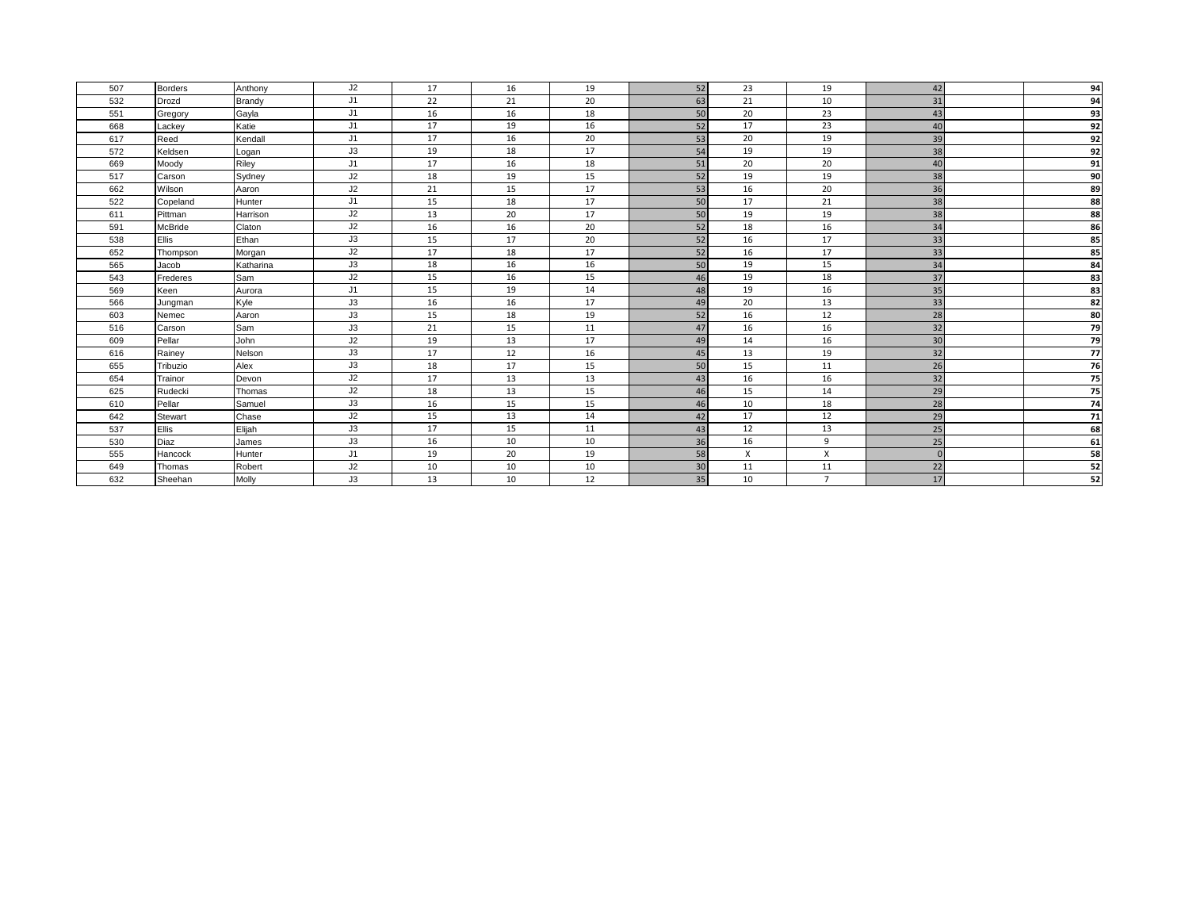| 507 | <b>Borders</b> | Anthony       | J2 | 17 | 16 | 19 | 52 | 23       | 19             | 42       | 94              |
|-----|----------------|---------------|----|----|----|----|----|----------|----------------|----------|-----------------|
| 532 | Drozd          | <b>Brandy</b> | J1 | 22 | 21 | 20 | 63 | 21       | 10             | 31       | 94              |
| 551 | Gregory        | Gayla         | J1 | 16 | 16 | 18 | 50 | 20       | 23             | 43       | 93              |
| 668 | Lackev         | Katie         | J1 | 17 | 19 | 16 | 52 | 17       | 23             | 40       | 92              |
| 617 | Reed           | Kendall       | J1 | 17 | 16 | 20 | 53 | 20       | 19             | 39       | $\overline{92}$ |
| 572 | Keldsen        | Logan         | J3 | 19 | 18 | 17 | 54 | 19       | 19             | 38       | 92              |
| 669 | Moody          | Riley         | J1 | 17 | 16 | 18 | 51 | 20       | 20             | 40       | 91              |
| 517 | Carson         | Sydney        | J2 | 18 | 19 | 15 | 52 | 19       | 19             | 38       | 90              |
| 662 | Wilson         | Aaron         | J2 | 21 | 15 | 17 | 53 | 16       | 20             | 36       | 89              |
| 522 | Copeland       | Hunter        | J1 | 15 | 18 | 17 | 50 | 17       | 21             | 38       | 88              |
| 611 | Pittman        | Harrison      | J2 | 13 | 20 | 17 | 50 | 19       | 19             | 38       | 88              |
| 591 | <b>McBride</b> | Claton        | J2 | 16 | 16 | 20 | 52 | 18       | 16             | 34       | 86              |
| 538 | Ellis          | Ethan         | J3 | 15 | 17 | 20 | 52 | 16       | 17             | 33       | 85              |
| 652 | Thompson       | Morgan        | J2 | 17 | 18 | 17 | 52 | 16       | 17             | 33       | 85              |
| 565 | Jacob          | Katharina     | J3 | 18 | 16 | 16 | 50 | 19       | 15             | 34       | 84              |
| 543 | Frederes       | Sam           | J2 | 15 | 16 | 15 | 46 | 19       | 18             | 37       | 83              |
| 569 | Keen           | Aurora        | J1 | 15 | 19 | 14 | 48 | 19       | 16             | 35       | 83              |
| 566 | Jungman        | Kyle          | J3 | 16 | 16 | 17 | 49 | 20       | 13             | 33       | 82              |
| 603 | Nemec          | Aaron         | J3 | 15 | 18 | 19 | 52 | 16       | 12             | 28       | 80              |
| 516 | Carson         | Sam           | J3 | 21 | 15 | 11 | 47 | 16       | 16             | 32       | 79              |
| 609 | Pellar         | John          | J2 | 19 | 13 | 17 | 49 | 14       | 16             | 30       | 79              |
| 616 | Rainev         | Nelson        | J3 | 17 | 12 | 16 | 45 | 13       | 19             | 32       | 77              |
| 655 | Tribuzio       | Alex          | J3 | 18 | 17 | 15 | 50 | 15       | 11             | 26       | 76              |
| 654 | Trainor        | Devon         | J2 | 17 | 13 | 13 | 43 | 16       | 16             | 32       | 75              |
| 625 | Rudecki        | Thomas        | J2 | 18 | 13 | 15 | 46 | 15       | 14             | 29       | 75              |
| 610 | Pellar         | Samuel        | J3 | 16 | 15 | 15 | 46 | 10       | 18             | 28       | 74              |
| 642 | Stewart        | Chase         | J2 | 15 | 13 | 14 | 42 | 17       | 12             | 29       | 71              |
| 537 | Ellis          | Elijah        | J3 | 17 | 15 | 11 | 43 | 12       | 13             | 25       | 68              |
| 530 | Diaz           | James         | J3 | 16 | 10 | 10 | 36 | 16       | 9              | 25       | 61              |
| 555 | Hancock        | Hunter        | J1 | 19 | 20 | 19 | 58 | $\times$ | X              | $\Omega$ | 58              |
| 649 | Thomas         | Robert        | J2 | 10 | 10 | 10 | 30 | 11       | 11             | 22       | 52              |
| 632 | Sheehan        | Molly         | J3 | 13 | 10 | 12 | 35 | 10       | $\overline{7}$ | 17       | 52              |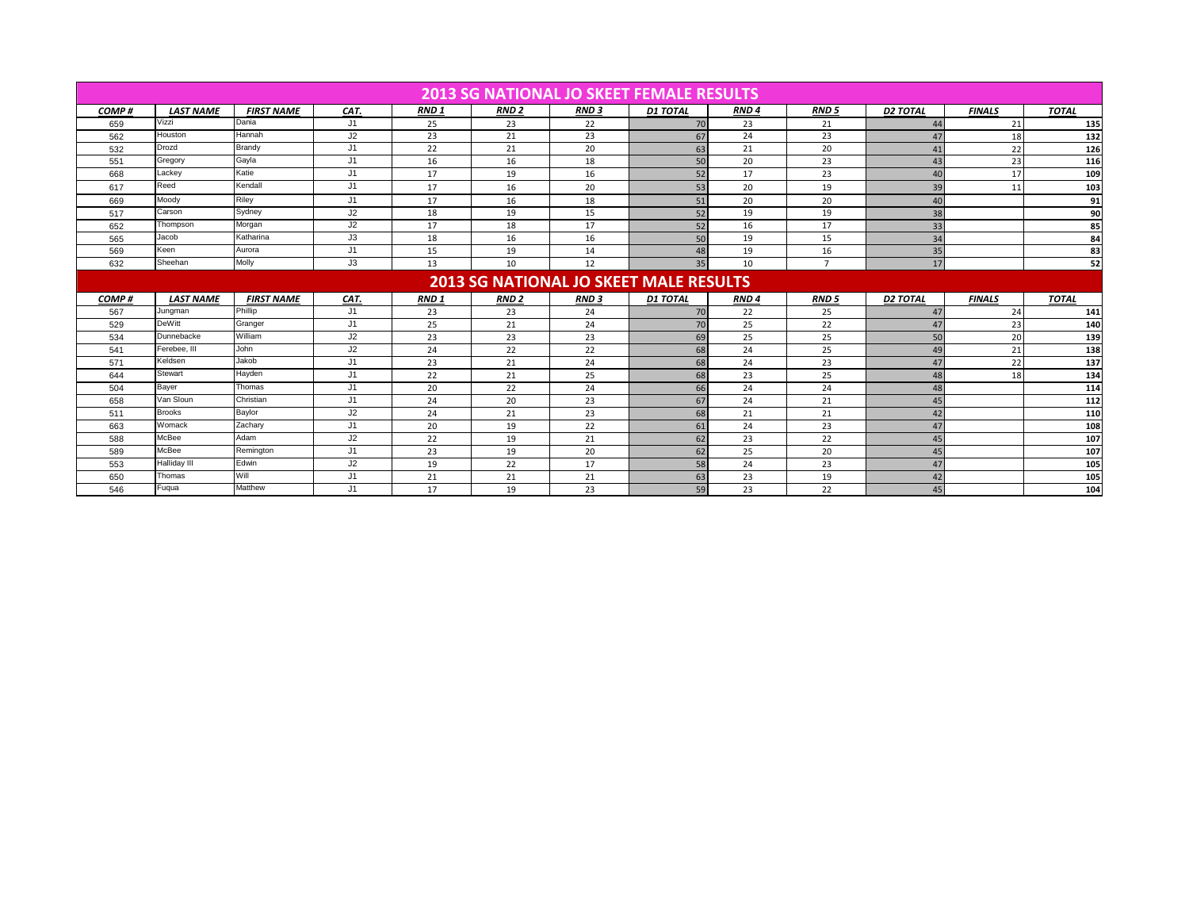|       | <b>2013 SG NATIONAL JO SKEET FEMALE RESULTS</b> |                   |      |             |                        |             |                                               |                  |                |                 |               |              |  |
|-------|-------------------------------------------------|-------------------|------|-------------|------------------------|-------------|-----------------------------------------------|------------------|----------------|-----------------|---------------|--------------|--|
| COMP# | <b>LAST NAME</b>                                | <b>FIRST NAME</b> | CAT. | <b>RND1</b> | <b>RND<sub>2</sub></b> | <b>RND3</b> | <b>D1 TOTAL</b>                               | RND <sub>4</sub> | <b>RND 5</b>   | <b>D2 TOTAL</b> | <b>FINALS</b> | <b>TOTAL</b> |  |
| 659   | Vizzi                                           | Dania             | J1   | 25          | 23                     | 22          | 70                                            | 23               | 21             | 44              | 21            | 135          |  |
| 562   | Houston                                         | Hannah            | J2   | 23          | 21                     | 23          | 67                                            | 24               | 23             | 47              | 18            | 132          |  |
| 532   | Drozd                                           | Brandy            | J1   | 22          | 21                     | 20          | 63                                            | 21               | 20             | 41              | 22            | 126          |  |
| 551   | Gregory                                         | Gayla             | J1   | 16          | 16                     | 18          | 50                                            | 20               | 23             | 43              | 23            | 116          |  |
| 668   | Lackey                                          | Katie             | J1   | 17          | 19                     | 16          | 52                                            | 17               | 23             | 40              | 17            | 109          |  |
| 617   | Reed                                            | Kendall           | J1   | 17          | 16                     | 20          | 53                                            | 20               | 19             | 39              | 11            | 103          |  |
| 669   | Moody                                           | Riley             | J1   | 17          | 16                     | 18          | 51                                            | 20               | 20             | 40              |               | 91           |  |
| 517   | Carson                                          | Sydney            | J2   | 18          | 19                     | 15          | 52                                            | 19               | 19             | 38              |               | 90           |  |
| 652   | Thompson                                        | Morgan            | J2   | 17          | 18                     | 17          | 52                                            | 16               | 17             | 33              |               | 85           |  |
| 565   | Jacob                                           | Katharina         | J3   | 18          | 16                     | 16          | 50                                            | 19               | 15             | 34              |               | 84           |  |
| 569   | Keen                                            | Aurora            | J1   | 15          | 19                     | 14          | 48                                            | 19               | 16             | 35              |               | 83           |  |
| 632   | Sheehan                                         | Molly             | J3   | 13          | 10                     | 12          | 35                                            | 10               | $\overline{7}$ | 17              |               | 52           |  |
|       |                                                 |                   |      |             |                        |             | <b>2013 SG NATIONAL JO SKEET MALE RESULTS</b> |                  |                |                 |               |              |  |
| COMP# | <b>LAST NAME</b>                                | <b>FIRST NAME</b> | CAT. | <b>RND1</b> | <b>RND<sub>2</sub></b> | <b>RND3</b> | <b>D1 TOTAL</b>                               | RND <sub>4</sub> | <b>RND5</b>    | <b>D2 TOTAL</b> | <b>FINALS</b> | <b>TOTAL</b> |  |
| 567   | Jungman                                         | Phillip           | J1   | 23          | 23                     | 24          | 70                                            | 22               | 25             | 47              | 24            | 141          |  |
| 529   | <b>DeWitt</b>                                   | Granger           | J1   | 25          | 21                     | 24          | 70                                            | 25               | 22             | 47              | 23            | 140          |  |
| 534   | Dunnebacke                                      | William           | J2   | 23          | 23                     | 23          | 69                                            | 25               | 25             | 50              | 20            | 139          |  |
| 541   | Ferebee. III                                    | John              | J2   | 24          | 22                     | 22          | 68                                            |                  |                |                 |               | 138          |  |
| 571   | Keldsen                                         | Jakob             |      |             |                        |             |                                               | 24               | 25             | 49              | 21            |              |  |
| 644   |                                                 |                   | J1   | 23          | 21                     | 24          | 68                                            | 24               | 23             | 47              | 22            | 137          |  |
|       | Stewart                                         | Hayden            | J1   | 22          | 21                     | 25          | 68                                            | 23               | 25             | 48              | 18            | 134          |  |
| 504   | Bayer                                           | Thomas            | J1   | 20          | 22                     | 24          | 66                                            | 24               | 24             | 48              |               | 114          |  |
| 658   | Van Sloun                                       | Christian         | J1   | 24          | 20                     | 23          | 67                                            | 24               | 21             | 45              |               | 112          |  |
| 511   | <b>Brooks</b>                                   | Baylor            | J2   | 24          | 21                     | 23          | 68                                            | 21               | 21             | 42              |               | 110          |  |
| 663   | Womack                                          | Zachary           | J1   | 20          | 19                     | 22          | 61                                            | 24               | 23             | 47              |               | 108          |  |
| 588   | McBee                                           | Adam              | J2   | 22          | 19                     | 21          | 62                                            | 23               | 22             | 45              |               | 107          |  |
| 589   | McBee                                           | Remington         | J1   | 23          | 19                     | 20          | 62                                            | 25               | 20             | 45              |               | 107          |  |
| 553   | <b>Halliday III</b>                             | Edwin             | J2   | 19          | 22                     | 17          | 58                                            | 24               | 23             | 47              |               | 105          |  |
| 650   | Thomas                                          | Will              | J1   | 21          | 21                     | 21          | 63                                            | 23               | 19             | 42              |               | 105          |  |